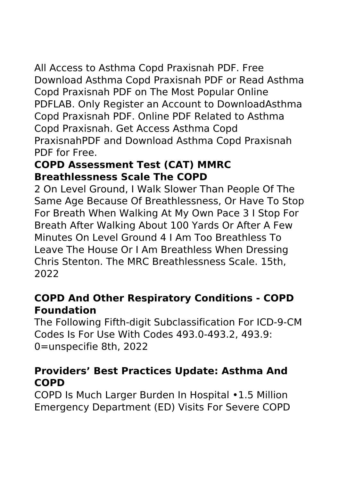All Access to Asthma Copd Praxisnah PDF. Free Download Asthma Copd Praxisnah PDF or Read Asthma Copd Praxisnah PDF on The Most Popular Online PDFLAB. Only Register an Account to DownloadAsthma Copd Praxisnah PDF. Online PDF Related to Asthma Copd Praxisnah. Get Access Asthma Copd PraxisnahPDF and Download Asthma Copd Praxisnah PDF for Free.

# **COPD Assessment Test (CAT) MMRC Breathlessness Scale The COPD**

2 On Level Ground, I Walk Slower Than People Of The Same Age Because Of Breathlessness, Or Have To Stop For Breath When Walking At My Own Pace 3 I Stop For Breath After Walking About 100 Yards Or After A Few Minutes On Level Ground 4 I Am Too Breathless To Leave The House Or I Am Breathless When Dressing Chris Stenton. The MRC Breathlessness Scale. 15th, 2022

#### **COPD And Other Respiratory Conditions - COPD Foundation**

The Following Fifth-digit Subclassification For ICD-9-CM Codes Is For Use With Codes 493.0-493.2, 493.9: 0=unspecifie 8th, 2022

#### **Providers' Best Practices Update: Asthma And COPD**

COPD Is Much Larger Burden In Hospital •1.5 Million Emergency Department (ED) Visits For Severe COPD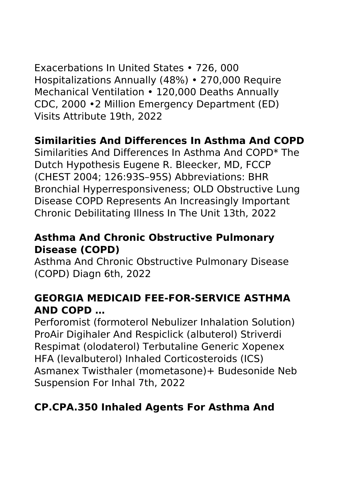Exacerbations In United States • 726, 000 Hospitalizations Annually (48%) • 270,000 Require Mechanical Ventilation • 120,000 Deaths Annually CDC, 2000 •2 Million Emergency Department (ED) Visits Attribute 19th, 2022

#### **Similarities And Differences In Asthma And COPD**

Similarities And Differences In Asthma And COPD\* The Dutch Hypothesis Eugene R. Bleecker, MD, FCCP (CHEST 2004; 126:93S–95S) Abbreviations: BHR Bronchial Hyperresponsiveness; OLD Obstructive Lung Disease COPD Represents An Increasingly Important Chronic Debilitating Illness In The Unit 13th, 2022

#### **Asthma And Chronic Obstructive Pulmonary Disease (COPD)**

Asthma And Chronic Obstructive Pulmonary Disease (COPD) Diagn 6th, 2022

# **GEORGIA MEDICAID FEE-FOR-SERVICE ASTHMA AND COPD …**

Perforomist (formoterol Nebulizer Inhalation Solution) ProAir Digihaler And Respiclick (albuterol) Striverdi Respimat (olodaterol) Terbutaline Generic Xopenex HFA (levalbuterol) Inhaled Corticosteroids (ICS) Asmanex Twisthaler (mometasone)+ Budesonide Neb Suspension For Inhal 7th, 2022

# **CP.CPA.350 Inhaled Agents For Asthma And**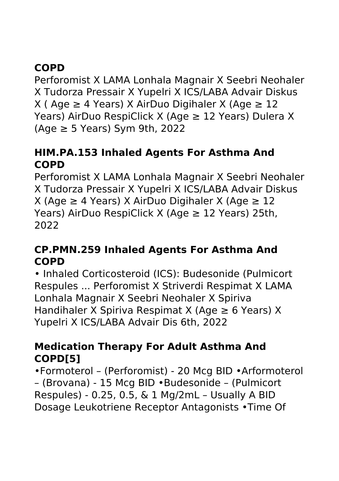# **COPD**

Perforomist X LAMA Lonhala Magnair X Seebri Neohaler X Tudorza Pressair X Yupelri X ICS/LABA Advair Diskus X (Age ≥ 4 Years) X AirDuo Digihaler X (Age ≥ 12 Years) AirDuo RespiClick X (Age  $\geq$  12 Years) Dulera X  $(Aqe \geq 5$  Years) Sym 9th, 2022

#### **HIM.PA.153 Inhaled Agents For Asthma And COPD**

Perforomist X LAMA Lonhala Magnair X Seebri Neohaler X Tudorza Pressair X Yupelri X ICS/LABA Advair Diskus X (Age ≥ 4 Years) X AirDuo Digihaler X (Age ≥ 12 Years) AirDuo RespiClick X (Age  $\geq$  12 Years) 25th, 2022

#### **CP.PMN.259 Inhaled Agents For Asthma And COPD**

• Inhaled Corticosteroid (ICS): Budesonide (Pulmicort Respules ... Perforomist X Striverdi Respimat X LAMA Lonhala Magnair X Seebri Neohaler X Spiriva Handihaler X Spiriva Respimat X (Age  $\geq 6$  Years) X Yupelri X ICS/LABA Advair Dis 6th, 2022

#### **Medication Therapy For Adult Asthma And COPD[5]**

•Formoterol – (Perforomist) - 20 Mcg BID •Arformoterol – (Brovana) - 15 Mcg BID •Budesonide – (Pulmicort Respules) - 0.25, 0.5, & 1 Mg/2mL – Usually A BID Dosage Leukotriene Receptor Antagonists •Time Of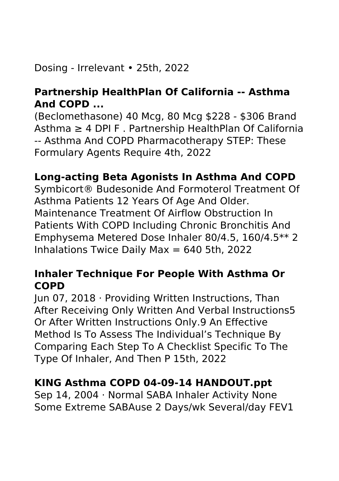# Dosing - Irrelevant • 25th, 2022

# **Partnership HealthPlan Of California -- Asthma And COPD ...**

(Beclomethasone) 40 Mcg, 80 Mcg \$228 - \$306 Brand Asthma ≥ 4 DPI F . Partnership HealthPlan Of California -- Asthma And COPD Pharmacotherapy STEP: These Formulary Agents Require 4th, 2022

# **Long-acting Beta Agonists In Asthma And COPD**

Symbicort® Budesonide And Formoterol Treatment Of Asthma Patients 12 Years Of Age And Older. Maintenance Treatment Of Airflow Obstruction In Patients With COPD Including Chronic Bronchitis And Emphysema Metered Dose Inhaler 80/4.5, 160/4.5\*\* 2 Inhalations Twice Daily Max =  $640$  5th, 2022

# **Inhaler Technique For People With Asthma Or COPD**

Jun 07, 2018 · Providing Written Instructions, Than After Receiving Only Written And Verbal Instructions5 Or After Written Instructions Only.9 An Effective Method Is To Assess The Individual's Technique By Comparing Each Step To A Checklist Specific To The Type Of Inhaler, And Then P 15th, 2022

#### **KING Asthma COPD 04-09-14 HANDOUT.ppt**

Sep 14, 2004 · Normal SABA Inhaler Activity None Some Extreme SABAuse 2 Days/wk Several/day FEV1